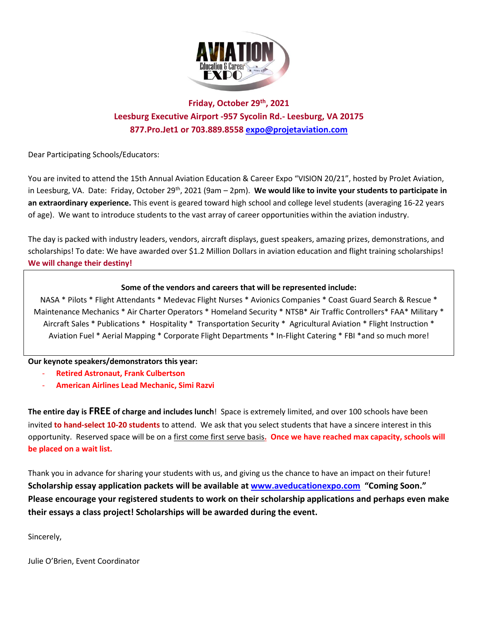

# **Friday, October 29th , 2021 Leesburg Executive Airport -957 Sycolin Rd.- Leesburg, VA 20175 877.Pro.Jet1 or 703.889.8558 [expo@projetaviation.com](mailto:expo@projetaviation.com)**

Dear Participating Schools/Educators:

You are invited to attend the 15th Annual Aviation Education & Career Expo "VISION 20/21", hosted by ProJet Aviation, in Leesburg, VA. Date: Friday, October 29th, 2021 (9am – 2pm). **We would like to invite your students to participate in an extraordinary experience.** This event is geared toward high school and college level students (averaging 16-22 years of age). We want to introduce students to the vast array of career opportunities within the aviation industry.

The day is packed with industry leaders, vendors, aircraft displays, guest speakers, amazing prizes, demonstrations, and scholarships! To date: We have awarded over \$1.2 Million Dollars in aviation education and flight training scholarships! **We will change their destiny!**

### **Some of the vendors and careers that will be represented include:**

NASA \* Pilots \* Flight Attendants \* Medevac Flight Nurses \* Avionics Companies \* Coast Guard Search & Rescue \* Maintenance Mechanics \* Air Charter Operators \* Homeland Security \* NTSB\* Air Traffic Controllers\* FAA\* Military \* Aircraft Sales \* Publications \* Hospitality \* Transportation Security \* Agricultural Aviation \* Flight Instruction \* Aviation Fuel \* Aerial Mapping \* Corporate Flight Departments \* In-Flight Catering \* FBI \*and so much more!

#### **Our keynote speakers/demonstrators this year:**

- **Retired Astronaut, Frank Culbertson**
- **American Airlines Lead Mechanic, Simi Razvi**

**The entire day is FREE of charge and includes lunch**! Space is extremely limited, and over 100 schools have been invited **to hand-select 10-20 students** to attend. We ask that you select students that have a sincere interest in this opportunity. Reserved space will be on a first come first serve basis**. Once we have reached max capacity, schools will be placed on a wait list.**

Thank you in advance for sharing your students with us, and giving us the chance to have an impact on their future! **Scholarship essay application packets will be available at [www.aveducationexpo.com](http://www.aveducationexpo.com/) "Coming Soon." Please encourage your registered students to work on their scholarship applications and perhaps even make their essays a class project! Scholarships will be awarded during the event.**

Sincerely,

Julie O'Brien, Event Coordinator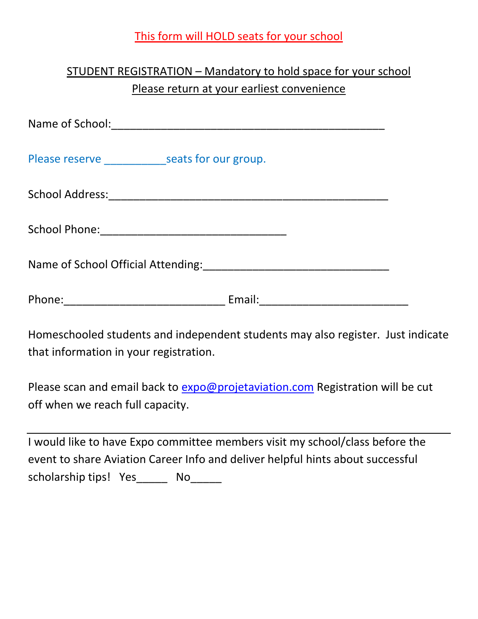# This form will HOLD seats for your school

# STUDENT REGISTRATION – Mandatory to hold space for your school Please return at your earliest convenience

| Homeschooled students and independent students may also register. Just indicate<br>that information in your registration. |  |
|---------------------------------------------------------------------------------------------------------------------------|--|

Please scan and email back to [expo@projetaviation.com](mailto:expo@projetaviation.com) Registration will be cut off when we reach full capacity.

|                       | I would like to have Expo committee members visit my school/class before the   |
|-----------------------|--------------------------------------------------------------------------------|
|                       | event to share Aviation Career Info and deliver helpful hints about successful |
| scholarship tips! Yes | No.                                                                            |